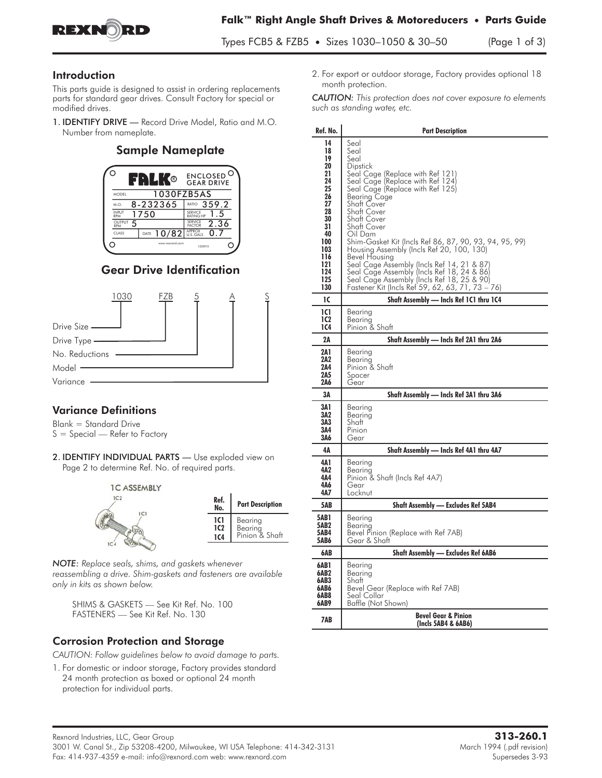

### Introduction

This parts guide is designed to assist in ordering replacements parts for standard gear drives. Consult Factory for special or modified drives.

1. IDENTIFY DRIVE — Record Drive Model, Ratio and M.O. Number from nameplate.

## Sample Nameplate



## Gear Drive Identification



## **Variance Definitions**

Blank = Standard Drive  $S = S$ pecial — Refer to Factory

2. **IDENTIFY INDIVIDUAL PARTS** - Use exploded view on Page 2 to determine Ref. No. of required parts.



*NOTE: Replace seals, shims, and gaskets whenever reassembling a drive. Shim-gaskets and fasteners are available only in kits as shown below.*

SHIMS & GASKETS — See Kit Ref. No. 100 FASTENERS — See Kit Ref. No. 130

### Corrosion Protection and Storage

*CAUTION: Follow guidelines below to avoid damage to parts.*

1. For domestic or indoor storage, Factory provides standard 24 month protection as boxed or optional 24 month protection for individual parts.

2. For export or outdoor storage, Factory provides optional 18 month protection.

*CAUTION: This protection does not cover exposure to elements such as standing water, etc.*

| Ref. No.                                                                                                                    | <b>Part Description</b>                                                                                                                                                                                                                                                                                                                                                                                                                                                                                                                                                                                  |  |  |  |  |
|-----------------------------------------------------------------------------------------------------------------------------|----------------------------------------------------------------------------------------------------------------------------------------------------------------------------------------------------------------------------------------------------------------------------------------------------------------------------------------------------------------------------------------------------------------------------------------------------------------------------------------------------------------------------------------------------------------------------------------------------------|--|--|--|--|
| 14<br>18<br>19<br>20<br>21<br>24<br>25<br>26<br>27<br>28<br>30<br>31<br>40<br>100<br>103<br>116<br>121<br>124<br>125<br>130 | Seal<br>Seal<br>Seal<br>Dipstick<br>Seal Cage (Replace with Ref 121)<br>Seal Cage (Replace with Ref 124)<br>Seal Cage (Replace with Ref 125)<br>Bearing Cage<br>Shatt Cover<br>Shaft Cover<br>Shatt Cover<br>Shaft Cover<br>Oil Dam<br>Shim-Gasket Kit (Incls Ref 86, 87, 90, 93, 94, 95, 99)<br>Housing Assembly (Incls Ref 20, 100, 130)<br>Bevel Housing<br>Seal Cage Assembly (Incls Ref 14, 21 & 87)<br>Seal Cage Assembly (Incls Ref 18, 24 & 86)<br>Seal Cage Assembly (Incls Ref 18, 25 & 90)<br>Eastopes Kit (Incls Ref 59, 62, 63, 71, 72)<br>Fastener Kit (Incls Ref 59, 62, 63, 71, 73 – 76) |  |  |  |  |
| ıc                                                                                                                          | Shaft Assembly - Incls Ref 1C1 thru 1C4                                                                                                                                                                                                                                                                                                                                                                                                                                                                                                                                                                  |  |  |  |  |
| <b>1C1</b><br>1C2<br>1C4                                                                                                    | Bearing<br>Bearina<br>Pinion & Shaft                                                                                                                                                                                                                                                                                                                                                                                                                                                                                                                                                                     |  |  |  |  |
| 2Α                                                                                                                          | Shaft Assembly — Incls Ref 2A1 thru 2A6                                                                                                                                                                                                                                                                                                                                                                                                                                                                                                                                                                  |  |  |  |  |
| 2A 1<br>2A2<br>2A4<br>2A5<br>2A6                                                                                            | Bearing<br>Bearing<br>Pinion & Shaft<br>Spacer<br>Gear                                                                                                                                                                                                                                                                                                                                                                                                                                                                                                                                                   |  |  |  |  |
| 3Α                                                                                                                          | Shaft Assembly - Incls Ref 3A1 thru 3A6                                                                                                                                                                                                                                                                                                                                                                                                                                                                                                                                                                  |  |  |  |  |
| 3A1<br>3A2<br>3A3<br>3A4<br>3A6                                                                                             | Bearing<br>Bearina<br>Shatt<br>Pinion<br>Gear                                                                                                                                                                                                                                                                                                                                                                                                                                                                                                                                                            |  |  |  |  |
| 4Α                                                                                                                          | Shaft Assembly — Incls Ref 4A1 thru 4A7                                                                                                                                                                                                                                                                                                                                                                                                                                                                                                                                                                  |  |  |  |  |
| 4A 1<br>4A2<br>4A4<br>4A6<br>4A7                                                                                            | Bearina<br>Bearing<br>Pinion & Shaft (Incls Ref 4A7)<br>Gear<br>Locknut                                                                                                                                                                                                                                                                                                                                                                                                                                                                                                                                  |  |  |  |  |
| 5AB                                                                                                                         | <b>Shaft Assembly - Excludes Ref 5AB4</b>                                                                                                                                                                                                                                                                                                                                                                                                                                                                                                                                                                |  |  |  |  |
| <b>5AB1</b><br>5AB2<br>5AB4<br>5AB6                                                                                         | Bearing<br>Bearing<br>Bevel Pinion (Replace with Ref 7AB)<br>Gear & Shaft                                                                                                                                                                                                                                                                                                                                                                                                                                                                                                                                |  |  |  |  |
| 6AB                                                                                                                         | <b>Shaft Assembly — Excludes Ref 6AB6</b>                                                                                                                                                                                                                                                                                                                                                                                                                                                                                                                                                                |  |  |  |  |
| 6AB1<br>6AB2<br>6AB3<br>6AB6<br>6AB8<br>6AB9                                                                                | Bearing<br>Bearing<br>Shatt<br>Bevel Gear (Replace with Ref 7AB)<br>Seal Collar<br>Baffle (Not Shown)                                                                                                                                                                                                                                                                                                                                                                                                                                                                                                    |  |  |  |  |
| 7AB                                                                                                                         | <b>Bevel Gear &amp; Pinion</b><br>(Incls 5AB4 & 6AB6)                                                                                                                                                                                                                                                                                                                                                                                                                                                                                                                                                    |  |  |  |  |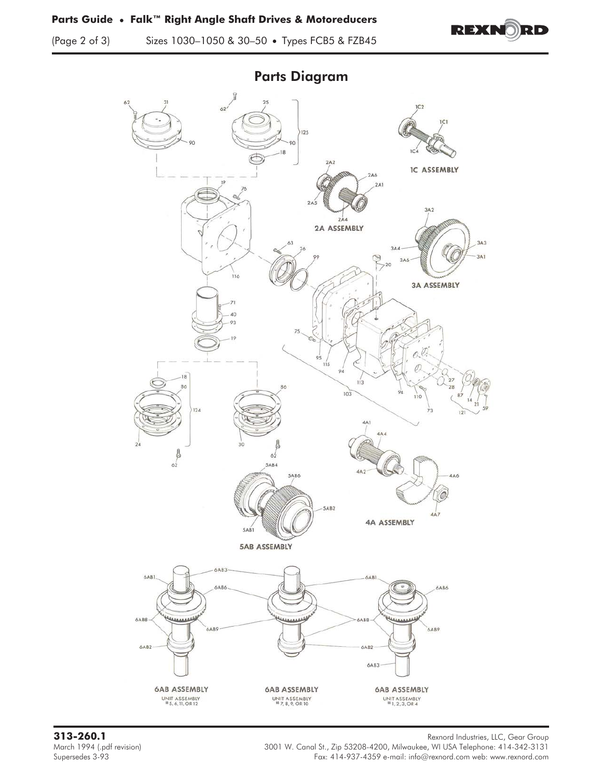(Page 2 of 3) Sizes 1030–1050 & 30–50 • Types FCB5 & FZB45





Parts Diagram

Rexnord Industries, LLC, Gear Group<br>March 1994 (.pdf revision) March 1994 (.pdf revision) **Rexnord Industries, LLC, Gear Group** March 1994 (.pdf revision) 3001 W. Canal St., Zip 53208-4200, Milwaukee, WI USA Telephone: 414-342-3131 Supersedes 3-93<br>Fax: 414-937-4359 e-mail: info@rexnord.com web: www.rexnord.com Fax: 414-937-4359 e-mail: info@rexnord.com web: www.rexnord.com